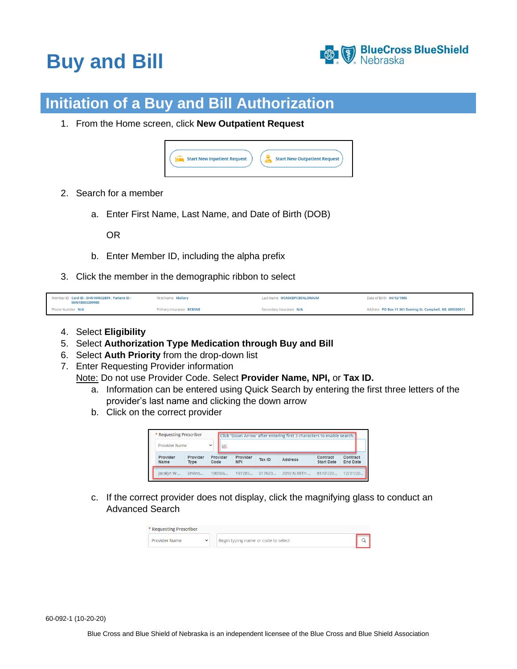## **Buy and Bill**



## **Initiation of a Buy and Bill Authorization**

1. From the Home screen, click **New Outpatient Request**

| <b>Start New Inpatient Request</b><br><b>Start New Outpatient Request</b><br>lо |
|---------------------------------------------------------------------------------|
|---------------------------------------------------------------------------------|

- 2. Search for a member
	- a. Enter First Name, Last Name, and Date of Birth (DOB)

OR

- b. Enter Member ID, including the alpha prefix
- 3. Click the member in the demographic ribbon to select

| Member ID Card ID: EHN100032899 . Patient ID:<br>EHN10003289900 | <b>First Name Mallary</b> | Last Name OCASKBPCBENLONIUM | Date of Birth 04/12/1985                                 |
|-----------------------------------------------------------------|---------------------------|-----------------------------|----------------------------------------------------------|
| Phone Number N/A                                                | Primary Insurance BCBSNE  | Secondary Insurance N/A     | Address PO Box 11 361 Deming St. Campbell, NE, 689320011 |

- 4. Select **Eligibility**
- 5. Select **Authorization Type Medication through Buy and Bill**
- 6. Select **Auth Priority** from the drop-down list
- 7. Enter Requesting Provider information

Note: Do not use Provider Code. Select **Provider Name, NPI,** or **Tax ID.**

- a. Information can be entered using Quick Search by entering the first three letters of the provider's last name and clicking the down arrow
- b. Click on the correct provider

| * Requesting Prescriber |                         |      |          |                        |               | Click 'Down Arrow' after entering first 3 characters to enable search. |                               |                             |
|-------------------------|-------------------------|------|----------|------------------------|---------------|------------------------------------------------------------------------|-------------------------------|-----------------------------|
| Provider Name           |                         |      |          |                        |               |                                                                        |                               |                             |
| Provider<br>Name        | Provider<br><b>Type</b> | Code | Provider | Provider<br><b>NPI</b> | <b>Tax ID</b> | <b>Address</b>                                                         | Contract<br><b>Start Date</b> | Contract<br><b>End Date</b> |
|                         |                         |      |          |                        |               |                                                                        |                               |                             |

c. If the correct provider does not display, click the magnifying glass to conduct an Advanced Search

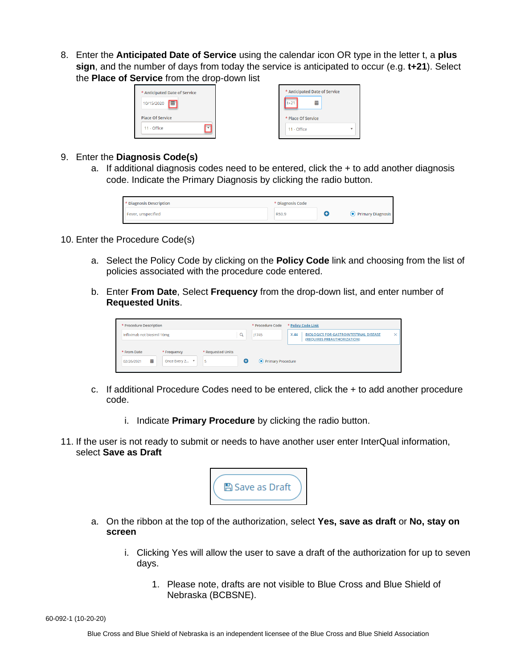8. Enter the **Anticipated Date of Service** using the calendar icon OR type in the letter t, a **plus sign**, and the number of days from today the service is anticipated to occur (e.g. **t+21**). Select the **Place of Service** from the drop-down list

| * Anticipated Date of Service<br>$t+21$<br>扁<br>肅<br>10/15/2020 |  |                               |
|-----------------------------------------------------------------|--|-------------------------------|
|                                                                 |  | * Anticipated Date of Service |
| <b>Place Of Service</b><br>* Place Of Service                   |  |                               |
| 11 - Office<br>11 - Office                                      |  |                               |

- 9. Enter the **Diagnosis Code(s)**
	- a. If additional diagnosis codes need to be entered, click the  $+$  to add another diagnosis code. Indicate the Primary Diagnosis by clicking the radio button.

| * Diagnosis Description | * Diagnosis Code |                     |
|-------------------------|------------------|---------------------|
| Fever, unspecified      | R50.9            | • Primary Diagnosis |
|                         |                  |                     |

- 10. Enter the Procedure Code(s)
	- a. Select the Policy Code by clicking on the **Policy Code** link and choosing from the list of policies associated with the procedure code entered.
	- b. Enter **From Date**, Select **Frequency** from the drop-down list, and enter number of **Requested Units**.

| * Procedure Description      |                |                   | * Procedure Code    |      | * Policy Code Link                                                           |   |
|------------------------------|----------------|-------------------|---------------------|------|------------------------------------------------------------------------------|---|
| Infliximab not biosimil 10mg |                | $\alpha$          | 11745               | X.44 | <b>BIOLOGICS FOR GASTROINTESTINAL DISEASE</b><br>(REQUIRES PREAUTHORIZATION) | × |
| * From Date                  | * Frequency    | * Requested Units |                     |      |                                                                              |   |
| 扁<br>02/26/2021              | Once Every 2 ▼ | Θ                 | • Primary Procedure |      |                                                                              |   |

- c. If additional Procedure Codes need to be entered, click the + to add another procedure code.
	- i. Indicate **Primary Procedure** by clicking the radio button.
- 11. If the user is not ready to submit or needs to have another user enter InterQual information, select **Save as Draft**



- a. On the ribbon at the top of the authorization, select **Yes, save as draft** or **No, stay on screen**
	- i. Clicking Yes will allow the user to save a draft of the authorization for up to seven days.
		- 1. Please note, drafts are not visible to Blue Cross and Blue Shield of Nebraska (BCBSNE).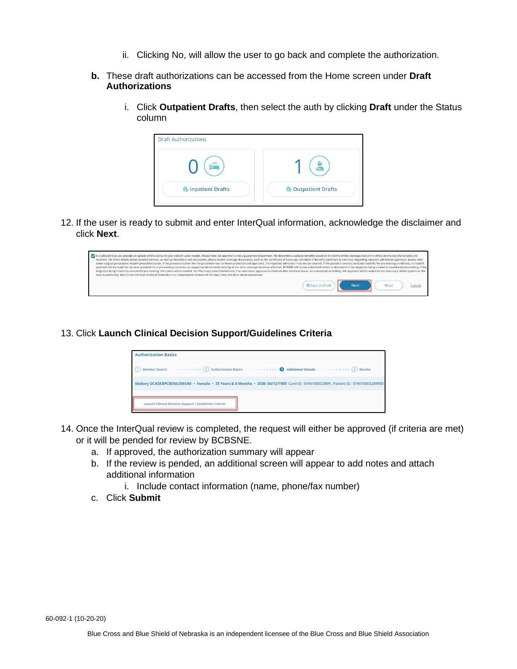- ii. Clicking No, will allow the user to go back and complete the authorization.
- **b.** These draft authorizations can be accessed from the Home screen under **Draft Authorizations**
	- i. Click **Outpatient Drafts**, then select the auth by clicking **Draft** under the Status column



12. If the user is ready to submit and enter InterQual information, acknowledge the disclaimer and click **Next**.

| It is advised that you provide an update of this status to your patient upon receipt. Please note: An approval is not a guarantee of payment. We determine available benefits based on the terms of the coverage that are in e<br>received. For more details about covered services, as well as limitations and exclusions, please review coverage documents, such as the Certificate of Coverage, Schedule of Benefits Summary or contract. Regarding inpatient<br>some surgical procedures require preauthorization. If the preauthorization for the procedure has not been submitted and approved, the inpatient admission may not be covered. If the patient's contract excludes benefits for<br>payment will be made for services provided for a pre-existing condition or congenital abnormality existing at the time coverage becomes effective. BCBSNE will review submitted claims to determine if the diagnosis being tre<br>diagnosis being treated is considered pre-existing, the claims will be denied. For Pharmacy preauthorizations, if an automatic approval is obtained after business hours, on a weekend or holiday, the approval will be added<br>next business day. Blue Cross and Blue Shield of Nebraska is an independent licensee of the Blue Cross and Blue Shield Association. |       |        |
|-------------------------------------------------------------------------------------------------------------------------------------------------------------------------------------------------------------------------------------------------------------------------------------------------------------------------------------------------------------------------------------------------------------------------------------------------------------------------------------------------------------------------------------------------------------------------------------------------------------------------------------------------------------------------------------------------------------------------------------------------------------------------------------------------------------------------------------------------------------------------------------------------------------------------------------------------------------------------------------------------------------------------------------------------------------------------------------------------------------------------------------------------------------------------------------------------------------------------------------------------------------------------------------------------------------|-------|--------|
| <b>图 Save as Draft</b><br><b>Next</b>                                                                                                                                                                                                                                                                                                                                                                                                                                                                                                                                                                                                                                                                                                                                                                                                                                                                                                                                                                                                                                                                                                                                                                                                                                                                       | Reset | Cancel |

13. Click **Launch Clinical Decision Support/Guidelines Criteria**

| Member Search (2) Authorization Basics (2) Authorization Basics (2) Additional Details (2) $\bullet$ Results                 |
|------------------------------------------------------------------------------------------------------------------------------|
| Mallary OCASKBPCBENLONIUM · Female · 35 Years & 6 Months · DOB: 04/12/1985 Card ID: EHN100032899, Patient ID: EHN10003289900 |

- 14. Once the InterQual review is completed, the request will either be approved (if criteria are met) or it will be pended for review by BCBSNE.
	- a. If approved, the authorization summary will appear
	- b. If the review is pended, an additional screen will appear to add notes and attach additional information
		- i. Include contact information (name, phone/fax number)
	- c. Click **Submit**